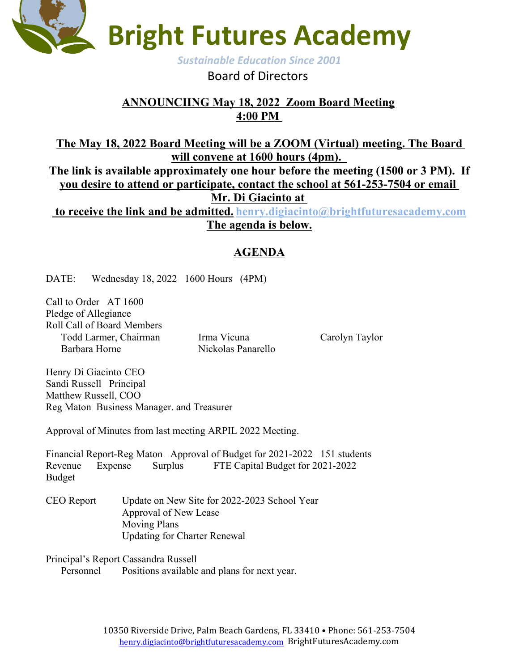

## Board of Directors

## **ANNOUNCIING May 18, 2022 Zoom Board Meeting 4:00 PM**

**The May 18, 2022 Board Meeting will be a ZOOM (Virtual) meeting. The Board**  will convene at 1600 hours (4pm).<br>The link is available approximately one hour before the meeting (1500 or 3 PM). If **you desire to attend or participate, contact the school at 561-253-7504 or email Mr. Di Giacinto at to receive the link and be admitted. henry.digiacinto@brightfuturesacademy.com The agenda is below.**

## **AGENDA**

DATE: Wednesday 18, 2022 1600 Hours (4PM)

Call to Order AT 1600 Pledge of Allegiance Roll Call of Board Members Todd Larmer, Chairman Irma Vicuna Carolyn Taylor Barbara Horne Nickolas Panarello

Henry Di Giacinto CEO Sandi Russell Principal Matthew Russell, COO Reg Maton Business Manager. and Treasurer

Approval of Minutes from last meeting ARPIL 2022 Meeting.

Financial Report-Reg Maton Approval of Budget for 2021-2022 151 students Revenue Expense Surplus FTE Capital Budget for 2021-2022 Budget

CEO Report Update on New Site for 2022-2023 School Year Approval of New Lease Moving Plans Updating for Charter Renewal

Principal's Report Cassandra Russell

Personnel Positions available and plans for next year.